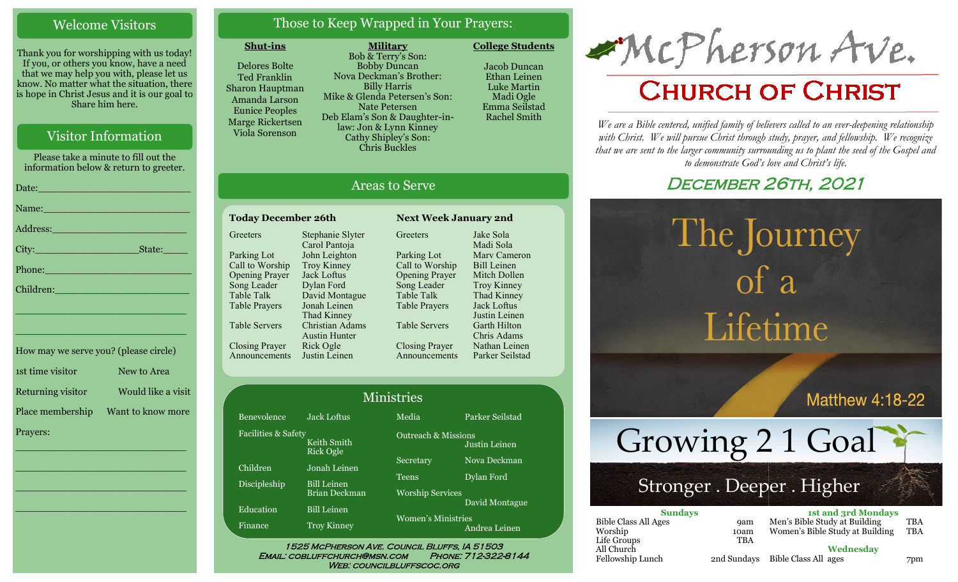### Welcome Visitors

Thank you for worshipping with us today! If you, or others you know, have a need that we may help you with, please let us know. No matter what the situation, there is hope in Christ Jesus and it is our goal to Share him here.

### Visitor Information

Please take a minute to fill out the information below & return to greeter. Date:\_\_\_\_\_\_\_\_\_\_\_\_\_\_\_\_\_\_\_\_\_\_\_\_\_ Name: Address:\_\_\_\_\_\_\_\_\_\_\_\_\_\_\_\_\_\_\_\_\_\_ City:\_\_\_\_\_\_\_\_\_\_\_\_\_\_\_\_\_State:\_\_\_\_ Phone:\_\_\_\_\_\_\_\_\_\_\_\_\_\_\_\_\_\_\_\_\_\_\_\_

\_\_\_\_\_\_\_\_\_\_\_\_\_\_\_\_\_\_\_\_\_\_\_\_\_\_\_\_ \_\_\_\_\_\_\_\_\_\_\_\_\_\_\_\_\_\_\_\_\_\_\_\_\_\_\_\_ How may we serve you? (please circle) 1st time visitor New to Area Returning visitor Would like a visit Place membership Want to know more

\_\_\_\_\_\_\_\_\_\_\_\_\_\_\_\_\_\_\_\_\_\_\_\_\_\_\_\_

 $\overline{\phantom{a}}$  , and the set of the set of the set of the set of the set of the set of the set of the set of the set of the set of the set of the set of the set of the set of the set of the set of the set of the set of the s

 $\overline{\phantom{a}}$  , and the set of the set of the set of the set of the set of the set of the set of the set of the set of the set of the set of the set of the set of the set of the set of the set of the set of the set of the s

\_\_\_\_\_\_\_\_\_\_\_\_\_\_\_\_\_\_\_\_\_\_\_\_\_\_\_\_

Children:

Prayers:

### Those to Keep Wrapped in Your Prayers:

#### **Shut-ins**

Bene Facil

Chil Disc

Edu Fina

Delores Bolte Ted Franklin Sharon Hauptman Amanda Larson Eunice Peoples Marge Rickertsen Viola Sorenson

**Military** Bob & Terry's Son: Bobby Duncan Nova Deckman's Brother: Billy Harris Mike & Glenda Petersen's Son: Nate Petersen Deb Elam's Son & Daughter-inlaw: Jon & Lynn Kinney Cathy Shipley's Son: Chris Buckles

**College Students**  Jacob Duncan

Ethan Leinen Luke Martin Madi Ogle Emma Seilstad Rachel Smith

### Areas to Serve

| <b>Today December 26th</b> | <b>Next Week Ja</b>                     |                       |
|----------------------------|-----------------------------------------|-----------------------|
| Greeters                   | Stephanie Slyter<br>Carol Pantoja       | Greeters              |
| Parking Lot                | John Leighton                           | Parking Lot           |
| Call to Worship            | <b>Troy Kinney</b>                      | Call to Worship       |
| <b>Opening Prayer</b>      | Jack Loftus                             | <b>Opening Prayer</b> |
| Song Leader                | Dylan Ford                              | Song Leader           |
| <b>Table Talk</b>          | David Montague                          | <b>Table Talk</b>     |
| <b>Table Prayers</b>       | Jonah Leinen<br>Thad Kinney             | <b>Table Prayers</b>  |
| <b>Table Servers</b>       | Christian Adams<br><b>Austin Hunter</b> | <b>Table Servers</b>  |
| <b>Closing Prayer</b>      | Rick Ogle                               | <b>Closing Prayer</b> |
| Announcements              | Justin Leinen                           | Announcements         |

Troy Kinney Thad Kinney Jack Loftus Justin Leinen Garth Hilton Chris Adams Nathan Leinen Parker Seilstad  $M^2$ inistries

**Today December 26th Next Week January 2nd**

Jake Sola Madi Sola Marv Cameron Bill Leinen Mitch Dollen

| <u>MIIIISU IES</u>                           |                          |                                |                 |  |
|----------------------------------------------|--------------------------|--------------------------------|-----------------|--|
| evolence                                     | <b>Jack Loftus</b>       | Media                          | Parker Seilstad |  |
| lities & Safety                              | Keith Smith<br>Rick Ogle | <b>Outreach &amp; Missions</b> | Justin Leinen   |  |
| dren                                         | Jonah Leinen             | Secretary                      | Nova Deckman    |  |
| ipleship                                     | <b>Bill Leinen</b>       | <b>Teens</b>                   | Dylan Ford      |  |
|                                              | Brian Deckman            | <b>Worship Services</b>        |                 |  |
| cation                                       | <b>Bill Leinen</b>       |                                | David Montague  |  |
| nce                                          | <b>Troy Kinney</b>       | <b>Women's Ministries</b>      | Andrea Leinen   |  |
| 1525 MCPHERSON AVE. COUNCIL BLUFFS, IA 51503 |                          |                                |                 |  |

# Email: cobluffchurch@msn.com Phone: 712-322-8144

WEB: COUNCILBLUFFSCOC.ORG

McPherson Ave.

## **CHURCH OF CHRIST**

*We are a Bible centered, unified family of believers called to an ever-deepening relationship*  with Christ. We will pursue Christ through study, prayer, and fellowship. We recognize *that we are sent to the larger community surrounding us to plant the seed of the Gospel and to demonstrate God's love and Christ's life.*

### December 26th, 2021

The Journey

# $\int_a^b$ Lifetime

**Matthew 4:18-22** 

Growing 2 1 Goal

### Stronger . Deeper . Higher

| <b>Sundays</b>              |            | <b>1st and 3rd Mondays</b>       |     |
|-----------------------------|------------|----------------------------------|-----|
| <b>Bible Class All Ages</b> | <b>9am</b> | Men's Bible Study at Building    | TBA |
| Worship                     | 10am       | Women's Bible Study at Building  | TBA |
| Life Groups                 | <b>TBA</b> |                                  |     |
| All Church                  |            | Wednesdav                        |     |
| Fellowship Lunch            |            | 2nd Sundays Bible Class All ages | 7pm |